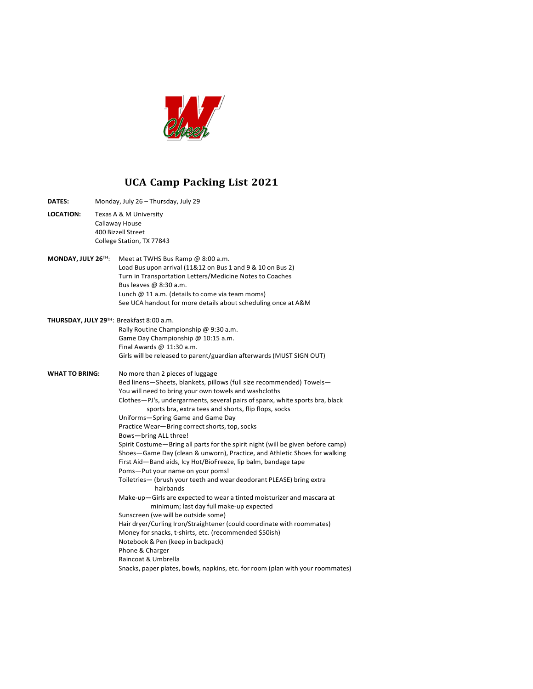

## **UCA Camp Packing List 2021**

| <b>DATES:</b>      |                                          | Monday, July 26 - Thursday, July 29                                                                               |  |
|--------------------|------------------------------------------|-------------------------------------------------------------------------------------------------------------------|--|
| <b>LOCATION:</b>   | Texas A & M University<br>Callaway House |                                                                                                                   |  |
|                    |                                          | 400 Bizzell Street                                                                                                |  |
|                    |                                          |                                                                                                                   |  |
|                    |                                          | College Station, TX 77843                                                                                         |  |
| MONDAY, JULY 26TH: |                                          | Meet at TWHS Bus Ramp @ 8:00 a.m.                                                                                 |  |
|                    |                                          | Load Bus upon arrival (11&12 on Bus 1 and 9 & 10 on Bus 2)                                                        |  |
|                    |                                          | Turn in Transportation Letters/Medicine Notes to Coaches                                                          |  |
|                    |                                          | Bus leaves @ 8:30 a.m.                                                                                            |  |
|                    |                                          | Lunch $@11$ a.m. (details to come via team moms)                                                                  |  |
|                    |                                          | See UCA handout for more details about scheduling once at A&M                                                     |  |
|                    |                                          | THURSDAY, JULY 29TH: Breakfast 8:00 a.m.                                                                          |  |
|                    |                                          | Rally Routine Championship @ 9:30 a.m.                                                                            |  |
|                    |                                          | Game Day Championship @ 10:15 a.m.                                                                                |  |
|                    |                                          | Final Awards $@11:30a.m.$                                                                                         |  |
|                    |                                          | Girls will be released to parent/guardian afterwards (MUST SIGN OUT)                                              |  |
|                    |                                          |                                                                                                                   |  |
| WHAT TO BRING:     |                                          | No more than 2 pieces of luggage                                                                                  |  |
|                    |                                          | Bed linens-Sheets, blankets, pillows (full size recommended) Towels-                                              |  |
|                    |                                          | You will need to bring your own towels and washcloths                                                             |  |
|                    |                                          | Clothes-PJ's, undergarments, several pairs of spanx, white sports bra, black                                      |  |
|                    |                                          | sports bra, extra tees and shorts, flip flops, socks                                                              |  |
|                    |                                          | Uniforms-Spring Game and Game Day                                                                                 |  |
|                    |                                          | Practice Wear-Bring correct shorts, top, socks                                                                    |  |
|                    |                                          | Bows-bring ALL three!                                                                                             |  |
|                    |                                          | Spirit Costume-Bring all parts for the spirit night (will be given before camp)                                   |  |
|                    |                                          | Shoes-Game Day (clean & unworn), Practice, and Athletic Shoes for walking                                         |  |
|                    |                                          | First Aid-Band aids, Icy Hot/BioFreeze, lip balm, bandage tape                                                    |  |
|                    |                                          | Poms-Put your name on your poms!                                                                                  |  |
|                    |                                          | Toiletries- (brush your teeth and wear deodorant PLEASE) bring extra                                              |  |
|                    |                                          | hairbands                                                                                                         |  |
|                    |                                          | Make-up-Girls are expected to wear a tinted moisturizer and mascara at<br>minimum; last day full make-up expected |  |
|                    |                                          | Sunscreen (we will be outside some)                                                                               |  |
|                    |                                          | Hair dryer/Curling Iron/Straightener (could coordinate with roommates)                                            |  |
|                    |                                          | Money for snacks, t-shirts, etc. (recommended \$50ish)                                                            |  |
|                    |                                          | Notebook & Pen (keep in backpack)                                                                                 |  |
|                    |                                          | Phone & Charger                                                                                                   |  |
|                    |                                          | Raincoat & Umbrella                                                                                               |  |
|                    |                                          | Snacks, paper plates, bowls, napkins, etc. for room (plan with your roommates)                                    |  |
|                    |                                          |                                                                                                                   |  |